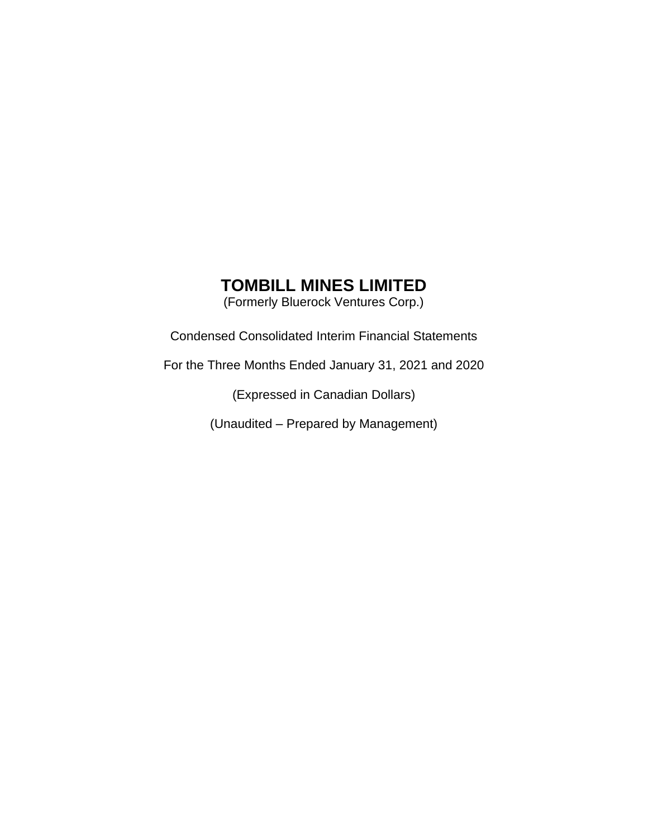(Formerly Bluerock Ventures Corp.)

Condensed Consolidated Interim Financial Statements

For the Three Months Ended January 31, 2021 and 2020

(Expressed in Canadian Dollars)

(Unaudited – Prepared by Management)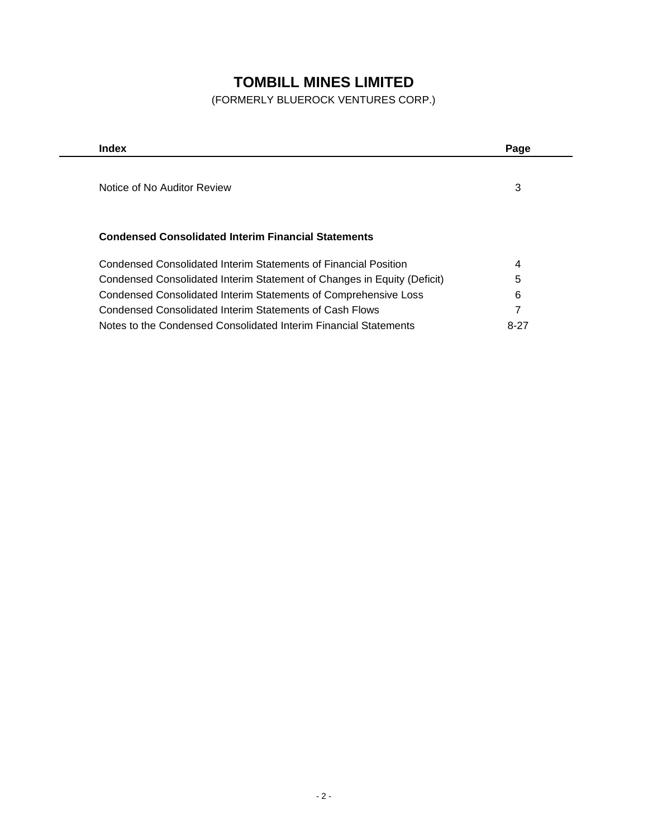(FORMERLY BLUEROCK VENTURES CORP.)

| Index                                                                   | Page |
|-------------------------------------------------------------------------|------|
|                                                                         |      |
| Notice of No Auditor Review                                             | 3    |
|                                                                         |      |
|                                                                         |      |
| <b>Condensed Consolidated Interim Financial Statements</b>              |      |
| Condensed Consolidated Interim Statements of Financial Position         | 4    |
| Condensed Consolidated Interim Statement of Changes in Equity (Deficit) | 5    |
| Condensed Consolidated Interim Statements of Comprehensive Loss         | 6    |
| Condensed Consolidated Interim Statements of Cash Flows                 | 7    |
| Notes to the Condensed Consolidated Interim Financial Statements        | 8-27 |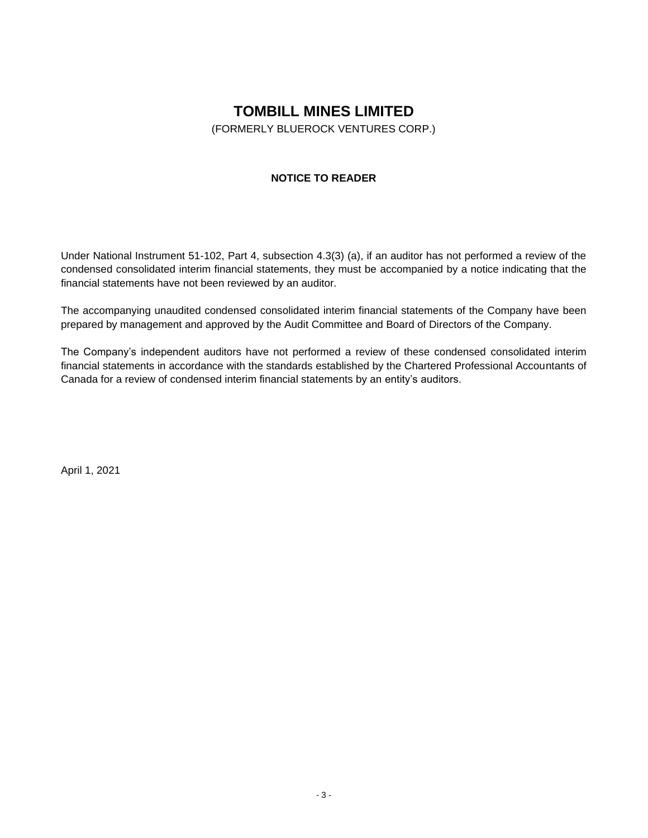(FORMERLY BLUEROCK VENTURES CORP.)

## **NOTICE TO READER**

Under National Instrument 51-102, Part 4, subsection 4.3(3) (a), if an auditor has not performed a review of the condensed consolidated interim financial statements, they must be accompanied by a notice indicating that the financial statements have not been reviewed by an auditor.

The accompanying unaudited condensed consolidated interim financial statements of the Company have been prepared by management and approved by the Audit Committee and Board of Directors of the Company.

The Company's independent auditors have not performed a review of these condensed consolidated interim financial statements in accordance with the standards established by the Chartered Professional Accountants of Canada for a review of condensed interim financial statements by an entity's auditors.

April 1, 2021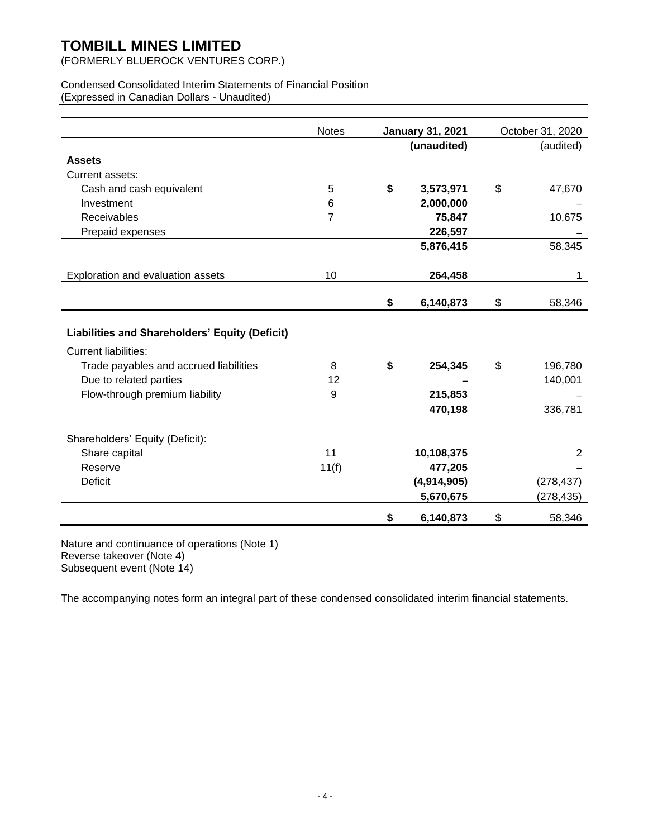(FORMERLY BLUEROCK VENTURES CORP.)

#### Condensed Consolidated Interim Statements of Financial Position (Expressed in Canadian Dollars - Unaudited)

|                                                | <b>Notes</b>   | <b>January 31, 2021</b> |             | October 31, 2020 |
|------------------------------------------------|----------------|-------------------------|-------------|------------------|
|                                                |                |                         | (unaudited) | (audited)        |
| <b>Assets</b>                                  |                |                         |             |                  |
| Current assets:                                |                |                         |             |                  |
| Cash and cash equivalent                       | 5              | \$                      | 3,573,971   | \$<br>47,670     |
| Investment                                     | 6              |                         | 2,000,000   |                  |
| Receivables                                    | $\overline{7}$ |                         | 75,847      | 10,675           |
| Prepaid expenses                               |                |                         | 226,597     |                  |
|                                                |                |                         | 5,876,415   | 58,345           |
| Exploration and evaluation assets              | 10             |                         | 264,458     | 1                |
|                                                |                | \$                      | 6,140,873   | \$<br>58,346     |
| Liabilities and Shareholders' Equity (Deficit) |                |                         |             |                  |
| <b>Current liabilities:</b>                    |                |                         |             |                  |
| Trade payables and accrued liabilities         | 8              | \$                      | 254,345     | \$<br>196,780    |
| Due to related parties                         | 12             |                         |             | 140,001          |
| Flow-through premium liability                 | 9              |                         | 215,853     |                  |
|                                                |                |                         | 470,198     | 336,781          |
| Shareholders' Equity (Deficit):                |                |                         |             |                  |
| Share capital                                  | 11             |                         | 10,108,375  | $\overline{2}$   |
| Reserve                                        | 11(f)          |                         | 477,205     |                  |
| <b>Deficit</b>                                 |                |                         | (4,914,905) | (278, 437)       |
|                                                |                |                         | 5,670,675   | (278,435)        |
|                                                |                | \$                      | 6,140,873   | \$<br>58,346     |

Nature and continuance of operations (Note 1) Reverse takeover (Note 4) Subsequent event (Note 14)

The accompanying notes form an integral part of these condensed consolidated interim financial statements.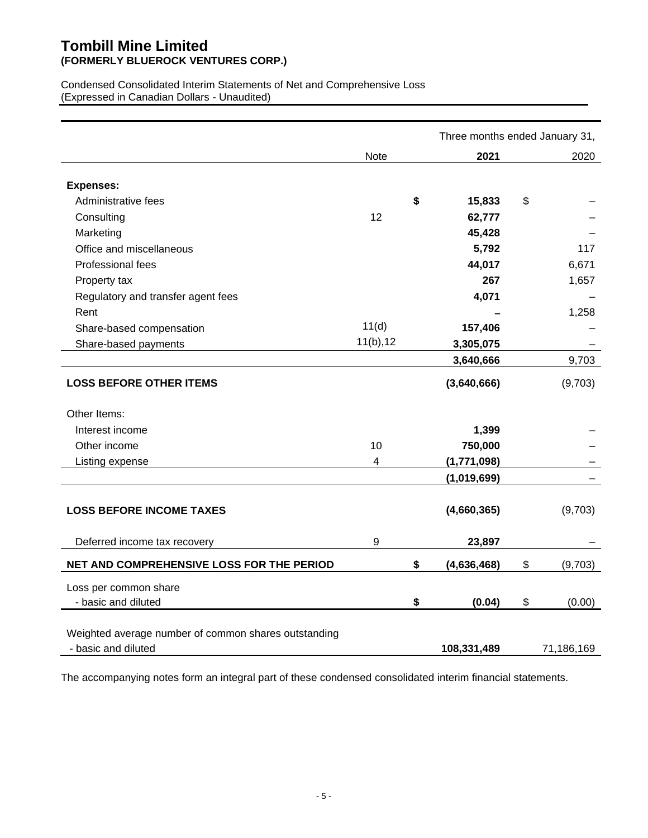## **Tombill Mine Limited (FORMERLY BLUEROCK VENTURES CORP.)**

Condensed Consolidated Interim Statements of Net and Comprehensive Loss (Expressed in Canadian Dollars - Unaudited)

|                                                      |           | Three months ended January 31, |               |
|------------------------------------------------------|-----------|--------------------------------|---------------|
|                                                      | Note      | 2021                           | 2020          |
|                                                      |           |                                |               |
| <b>Expenses:</b>                                     |           |                                |               |
| Administrative fees                                  |           | \$<br>15,833                   | \$            |
| Consulting                                           | 12        | 62,777                         |               |
| Marketing                                            |           | 45,428                         |               |
| Office and miscellaneous                             |           | 5,792                          | 117           |
| Professional fees                                    |           | 44,017                         | 6,671         |
| Property tax                                         |           | 267                            | 1,657         |
| Regulatory and transfer agent fees                   |           | 4,071                          |               |
| Rent                                                 |           |                                | 1,258         |
| Share-based compensation                             | 11(d)     | 157,406                        |               |
| Share-based payments                                 | 11(b), 12 | 3,305,075                      |               |
|                                                      |           | 3,640,666                      | 9,703         |
| <b>LOSS BEFORE OTHER ITEMS</b>                       |           | (3,640,666)                    | (9,703)       |
| Other Items:                                         |           |                                |               |
| Interest income                                      |           | 1,399                          |               |
| Other income                                         | 10        | 750,000                        |               |
| Listing expense                                      | 4         | (1,771,098)                    |               |
|                                                      |           | (1,019,699)                    |               |
|                                                      |           |                                |               |
| <b>LOSS BEFORE INCOME TAXES</b>                      |           | (4,660,365)                    | (9,703)       |
|                                                      |           |                                |               |
| Deferred income tax recovery                         | 9         | 23,897                         |               |
| NET AND COMPREHENSIVE LOSS FOR THE PERIOD            |           | \$<br>(4,636,468)              | \$<br>(9,703) |
| Loss per common share                                |           |                                |               |
| - basic and diluted                                  |           | \$<br>(0.04)                   | \$<br>(0.00)  |
| Weighted average number of common shares outstanding |           |                                |               |
| - basic and diluted                                  |           | 108,331,489                    | 71,186,169    |

The accompanying notes form an integral part of these condensed consolidated interim financial statements.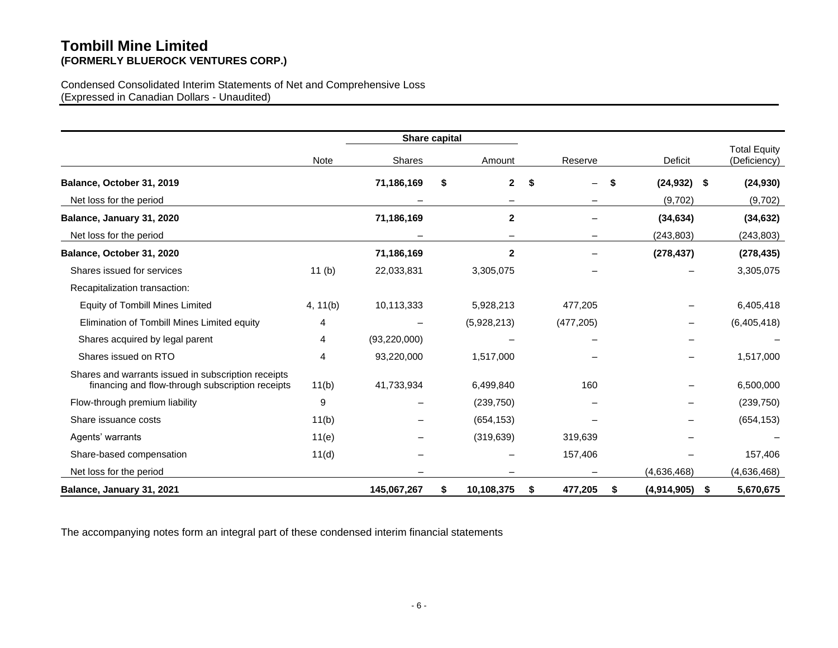## **Tombill Mine Limited (FORMERLY BLUEROCK VENTURES CORP.)**

### Condensed Consolidated Interim Statements of Net and Comprehensive Loss (Expressed in Canadian Dollars - Unaudited)

|                                                                                                         |                | Share capital  |    |              |    |            |                      |    |                                     |
|---------------------------------------------------------------------------------------------------------|----------------|----------------|----|--------------|----|------------|----------------------|----|-------------------------------------|
|                                                                                                         | Note           | Shares         |    | Amount       |    | Reserve    | Deficit              |    | <b>Total Equity</b><br>(Deficiency) |
| Balance, October 31, 2019                                                                               |                | 71,186,169     | \$ | $\mathbf{2}$ | \$ | —          | \$<br>$(24, 932)$ \$ |    | (24, 930)                           |
| Net loss for the period                                                                                 |                |                |    |              |    |            | (9,702)              |    | (9,702)                             |
| Balance, January 31, 2020                                                                               |                | 71,186,169     |    | $\mathbf{2}$ |    |            | (34, 634)            |    | (34, 632)                           |
| Net loss for the period                                                                                 |                |                |    |              |    | -          | (243, 803)           |    | (243, 803)                          |
| Balance, October 31, 2020                                                                               |                | 71,186,169     |    | $\mathbf{2}$ |    |            | (278, 437)           |    | (278, 435)                          |
| Shares issued for services                                                                              | 11(b)          | 22,033,831     |    | 3,305,075    |    |            |                      |    | 3,305,075                           |
| Recapitalization transaction:                                                                           |                |                |    |              |    |            |                      |    |                                     |
| Equity of Tombill Mines Limited                                                                         | 4, 11(b)       | 10,113,333     |    | 5,928,213    |    | 477,205    |                      |    | 6,405,418                           |
| Elimination of Tombill Mines Limited equity                                                             | $\overline{4}$ |                |    | (5,928,213)  |    | (477, 205) |                      |    | (6,405,418)                         |
| Shares acquired by legal parent                                                                         | 4              | (93, 220, 000) |    |              |    |            |                      |    |                                     |
| Shares issued on RTO                                                                                    | 4              | 93,220,000     |    | 1,517,000    |    |            |                      |    | 1,517,000                           |
| Shares and warrants issued in subscription receipts<br>financing and flow-through subscription receipts | 11(b)          | 41,733,934     |    | 6,499,840    |    | 160        |                      |    | 6,500,000                           |
| Flow-through premium liability                                                                          | 9              |                |    | (239,750)    |    |            |                      |    | (239, 750)                          |
| Share issuance costs                                                                                    | 11(b)          |                |    | (654, 153)   |    |            |                      |    | (654, 153)                          |
| Agents' warrants                                                                                        | 11(e)          |                |    | (319, 639)   |    | 319,639    |                      |    |                                     |
| Share-based compensation                                                                                | 11(d)          |                |    |              |    | 157,406    |                      |    | 157,406                             |
| Net loss for the period                                                                                 |                |                |    |              |    |            | (4,636,468)          |    | (4,636,468)                         |
| Balance, January 31, 2021                                                                               |                | 145,067,267    | S  | 10,108,375   | S  | 477,205    | \$<br>(4,914,905)    | S. | 5,670,675                           |

The accompanying notes form an integral part of these condensed interim financial statements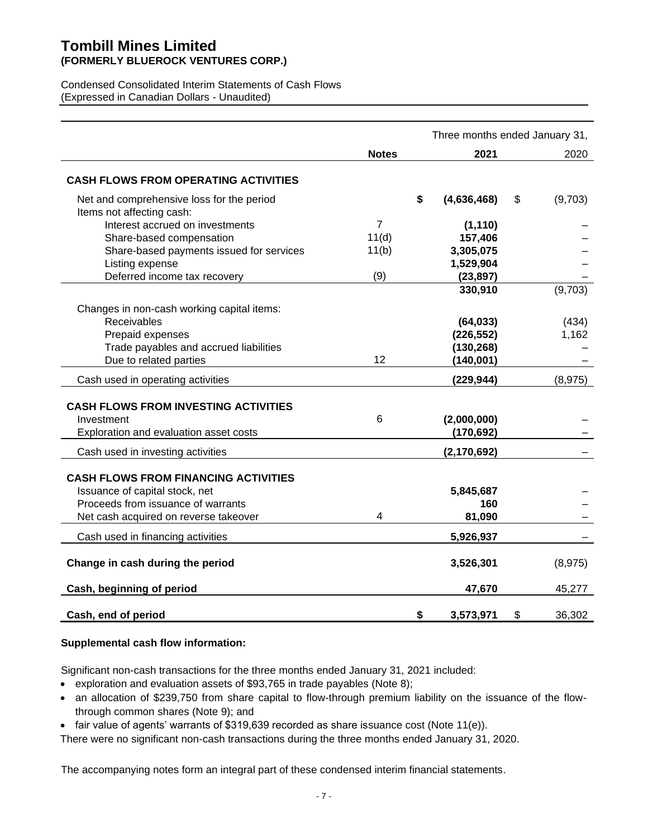## **Tombill Mines Limited (FORMERLY BLUEROCK VENTURES CORP.)**

Condensed Consolidated Interim Statements of Cash Flows (Expressed in Canadian Dollars - Unaudited)

|                                                                        |              | Three months ended January 31, |               |
|------------------------------------------------------------------------|--------------|--------------------------------|---------------|
|                                                                        | <b>Notes</b> | 2021                           | 2020          |
| <b>CASH FLOWS FROM OPERATING ACTIVITIES</b>                            |              |                                |               |
| Net and comprehensive loss for the period<br>Items not affecting cash: |              | \$<br>(4,636,468)              | \$<br>(9,703) |
| Interest accrued on investments                                        | 7            | (1, 110)                       |               |
| Share-based compensation                                               | 11(d)        | 157,406                        |               |
| Share-based payments issued for services                               | 11(b)        | 3,305,075                      |               |
| Listing expense                                                        |              | 1,529,904                      |               |
| Deferred income tax recovery                                           | (9)          | (23, 897)                      |               |
|                                                                        |              | 330,910                        | (9,703)       |
| Changes in non-cash working capital items:                             |              |                                |               |
| Receivables                                                            |              | (64, 033)                      | (434)         |
| Prepaid expenses                                                       |              | (226, 552)                     | 1,162         |
| Trade payables and accrued liabilities                                 |              | (130, 268)                     |               |
| Due to related parties                                                 | 12           | (140, 001)                     |               |
| Cash used in operating activities                                      |              | (229, 944)                     | (8,975)       |
|                                                                        |              |                                |               |
| <b>CASH FLOWS FROM INVESTING ACTIVITIES</b>                            |              |                                |               |
| Investment                                                             | 6            | (2,000,000)                    |               |
| Exploration and evaluation asset costs                                 |              | (170, 692)                     |               |
| Cash used in investing activities                                      |              | (2, 170, 692)                  |               |
|                                                                        |              |                                |               |
| <b>CASH FLOWS FROM FINANCING ACTIVITIES</b>                            |              |                                |               |
| Issuance of capital stock, net                                         |              | 5,845,687                      |               |
| Proceeds from issuance of warrants                                     | 4            | 160                            |               |
| Net cash acquired on reverse takeover                                  |              | 81,090                         |               |
| Cash used in financing activities                                      |              | 5,926,937                      |               |
| Change in cash during the period                                       |              | 3,526,301                      | (8,975)       |
| Cash, beginning of period                                              |              | 47,670                         | 45,277        |
| Cash, end of period                                                    |              | \$<br>3,573,971                | \$<br>36,302  |

## **Supplemental cash flow information:**

Significant non-cash transactions for the three months ended January 31, 2021 included:

- exploration and evaluation assets of \$93,765 in trade payables (Note 8);
- an allocation of \$239,750 from share capital to flow-through premium liability on the issuance of the flowthrough common shares (Note 9); and
- fair value of agents' warrants of \$319,639 recorded as share issuance cost (Note 11(e)).

There were no significant non-cash transactions during the three months ended January 31, 2020.

The accompanying notes form an integral part of these condensed interim financial statements.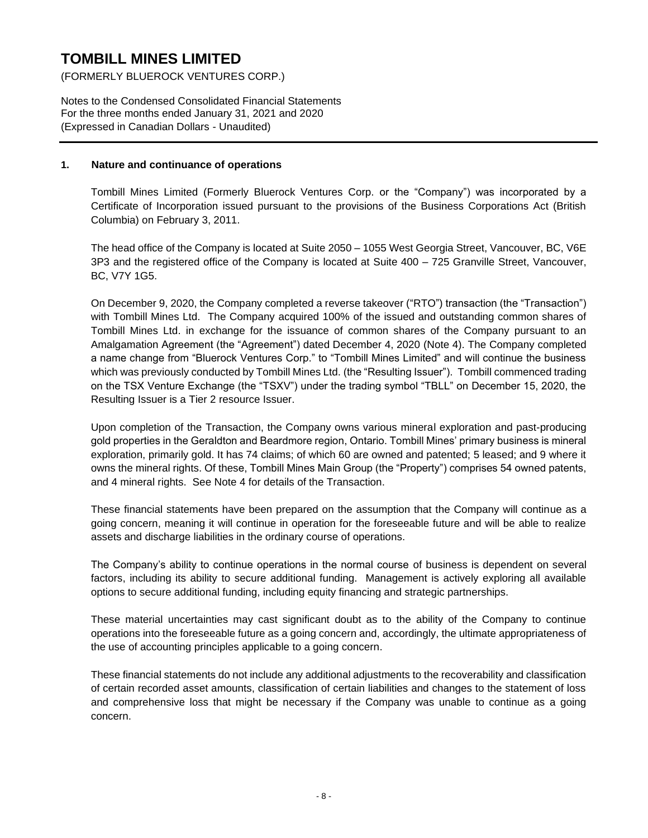(FORMERLY BLUEROCK VENTURES CORP.)

Notes to the Condensed Consolidated Financial Statements For the three months ended January 31, 2021 and 2020 (Expressed in Canadian Dollars - Unaudited)

#### **1. Nature and continuance of operations**

Tombill Mines Limited (Formerly Bluerock Ventures Corp. or the "Company") was incorporated by a Certificate of Incorporation issued pursuant to the provisions of the Business Corporations Act (British Columbia) on February 3, 2011.

The head office of the Company is located at Suite 2050 – 1055 West Georgia Street, Vancouver, BC, V6E 3P3 and the registered office of the Company is located at Suite 400 – 725 Granville Street, Vancouver, BC, V7Y 1G5.

On December 9, 2020, the Company completed a reverse takeover ("RTO") transaction (the "Transaction") with Tombill Mines Ltd. The Company acquired 100% of the issued and outstanding common shares of Tombill Mines Ltd. in exchange for the issuance of common shares of the Company pursuant to an Amalgamation Agreement (the "Agreement") dated December 4, 2020 (Note 4). The Company completed a name change from "Bluerock Ventures Corp." to "Tombill Mines Limited" and will continue the business which was previously conducted by Tombill Mines Ltd. (the "Resulting Issuer"). Tombill commenced trading on the TSX Venture Exchange (the "TSXV") under the trading symbol "TBLL" on December 15, 2020, the Resulting Issuer is a Tier 2 resource Issuer.

Upon completion of the Transaction, the Company owns various mineral exploration and past-producing gold properties in the Geraldton and Beardmore region, Ontario. Tombill Mines' primary business is mineral exploration, primarily gold. It has 74 claims; of which 60 are owned and patented; 5 leased; and 9 where it owns the mineral rights. Of these, Tombill Mines Main Group (the "Property") comprises 54 owned patents, and 4 mineral rights. See Note 4 for details of the Transaction.

These financial statements have been prepared on the assumption that the Company will continue as a going concern, meaning it will continue in operation for the foreseeable future and will be able to realize assets and discharge liabilities in the ordinary course of operations.

The Company's ability to continue operations in the normal course of business is dependent on several factors, including its ability to secure additional funding. Management is actively exploring all available options to secure additional funding, including equity financing and strategic partnerships.

These material uncertainties may cast significant doubt as to the ability of the Company to continue operations into the foreseeable future as a going concern and, accordingly, the ultimate appropriateness of the use of accounting principles applicable to a going concern.

These financial statements do not include any additional adjustments to the recoverability and classification of certain recorded asset amounts, classification of certain liabilities and changes to the statement of loss and comprehensive loss that might be necessary if the Company was unable to continue as a going concern.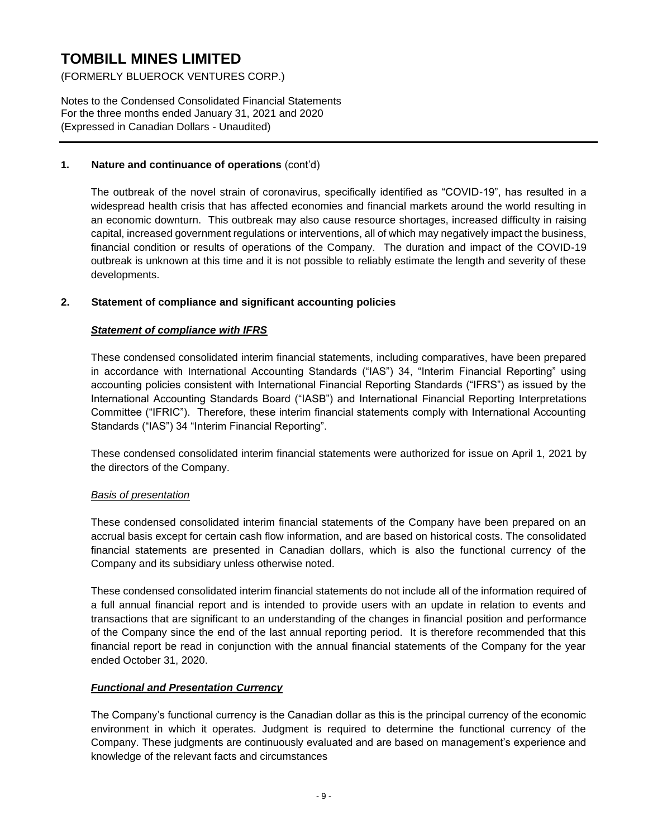(FORMERLY BLUEROCK VENTURES CORP.)

Notes to the Condensed Consolidated Financial Statements For the three months ended January 31, 2021 and 2020 (Expressed in Canadian Dollars - Unaudited)

## **1. Nature and continuance of operations** (cont'd)

The outbreak of the novel strain of coronavirus, specifically identified as "COVID-19", has resulted in a widespread health crisis that has affected economies and financial markets around the world resulting in an economic downturn. This outbreak may also cause resource shortages, increased difficulty in raising capital, increased government regulations or interventions, all of which may negatively impact the business, financial condition or results of operations of the Company. The duration and impact of the COVID-19 outbreak is unknown at this time and it is not possible to reliably estimate the length and severity of these developments.

## **2. Statement of compliance and significant accounting policies**

## *Statement of compliance with IFRS*

These condensed consolidated interim financial statements, including comparatives, have been prepared in accordance with International Accounting Standards ("IAS") 34, "Interim Financial Reporting" using accounting policies consistent with International Financial Reporting Standards ("IFRS") as issued by the International Accounting Standards Board ("IASB") and International Financial Reporting Interpretations Committee ("IFRIC"). Therefore, these interim financial statements comply with International Accounting Standards ("IAS") 34 "Interim Financial Reporting".

These condensed consolidated interim financial statements were authorized for issue on April 1, 2021 by the directors of the Company.

## *Basis of presentation*

These condensed consolidated interim financial statements of the Company have been prepared on an accrual basis except for certain cash flow information, and are based on historical costs. The consolidated financial statements are presented in Canadian dollars, which is also the functional currency of the Company and its subsidiary unless otherwise noted.

These condensed consolidated interim financial statements do not include all of the information required of a full annual financial report and is intended to provide users with an update in relation to events and transactions that are significant to an understanding of the changes in financial position and performance of the Company since the end of the last annual reporting period. It is therefore recommended that this financial report be read in conjunction with the annual financial statements of the Company for the year ended October 31, 2020.

## *Functional and Presentation Currency*

The Company's functional currency is the Canadian dollar as this is the principal currency of the economic environment in which it operates. Judgment is required to determine the functional currency of the Company. These judgments are continuously evaluated and are based on management's experience and knowledge of the relevant facts and circumstances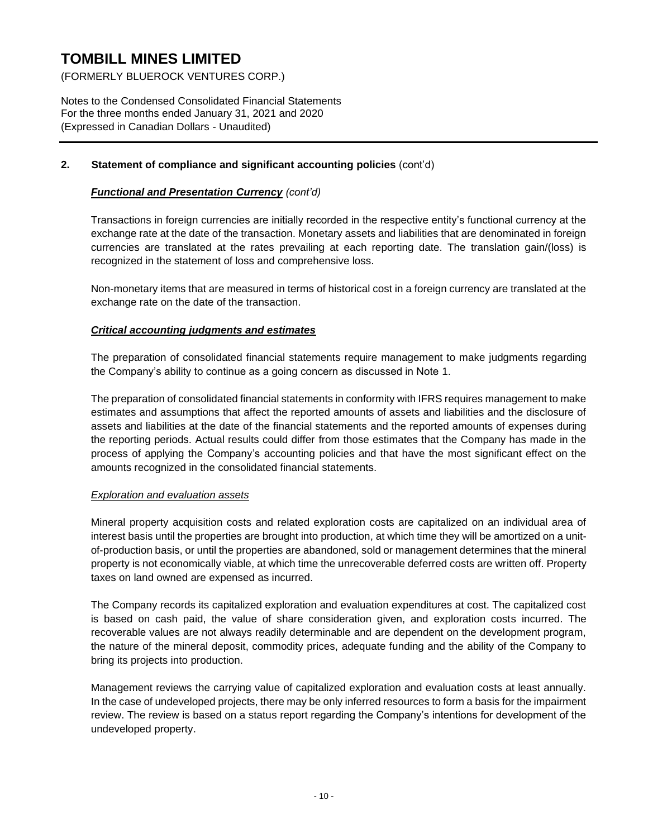(FORMERLY BLUEROCK VENTURES CORP.)

Notes to the Condensed Consolidated Financial Statements For the three months ended January 31, 2021 and 2020 (Expressed in Canadian Dollars - Unaudited)

## **2. Statement of compliance and significant accounting policies** (cont'd)

## *Functional and Presentation Currency (cont'd)*

Transactions in foreign currencies are initially recorded in the respective entity's functional currency at the exchange rate at the date of the transaction. Monetary assets and liabilities that are denominated in foreign currencies are translated at the rates prevailing at each reporting date. The translation gain/(loss) is recognized in the statement of loss and comprehensive loss.

Non-monetary items that are measured in terms of historical cost in a foreign currency are translated at the exchange rate on the date of the transaction.

## *Critical accounting judgments and estimates*

The preparation of consolidated financial statements require management to make judgments regarding the Company's ability to continue as a going concern as discussed in Note 1.

The preparation of consolidated financial statements in conformity with IFRS requires management to make estimates and assumptions that affect the reported amounts of assets and liabilities and the disclosure of assets and liabilities at the date of the financial statements and the reported amounts of expenses during the reporting periods. Actual results could differ from those estimates that the Company has made in the process of applying the Company's accounting policies and that have the most significant effect on the amounts recognized in the consolidated financial statements.

## *Exploration and evaluation assets*

Mineral property acquisition costs and related exploration costs are capitalized on an individual area of interest basis until the properties are brought into production, at which time they will be amortized on a unitof-production basis, or until the properties are abandoned, sold or management determines that the mineral property is not economically viable, at which time the unrecoverable deferred costs are written off. Property taxes on land owned are expensed as incurred.

The Company records its capitalized exploration and evaluation expenditures at cost. The capitalized cost is based on cash paid, the value of share consideration given, and exploration costs incurred. The recoverable values are not always readily determinable and are dependent on the development program, the nature of the mineral deposit, commodity prices, adequate funding and the ability of the Company to bring its projects into production.

Management reviews the carrying value of capitalized exploration and evaluation costs at least annually. In the case of undeveloped projects, there may be only inferred resources to form a basis for the impairment review. The review is based on a status report regarding the Company's intentions for development of the undeveloped property.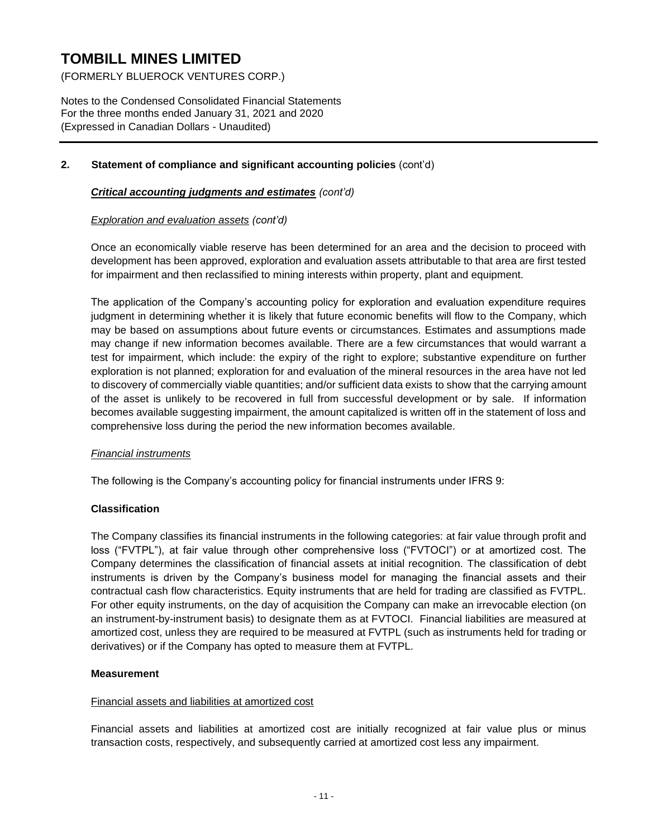(FORMERLY BLUEROCK VENTURES CORP.)

Notes to the Condensed Consolidated Financial Statements For the three months ended January 31, 2021 and 2020 (Expressed in Canadian Dollars - Unaudited)

## **2. Statement of compliance and significant accounting policies** (cont'd)

### *Critical accounting judgments and estimates (cont'd)*

#### *Exploration and evaluation assets (cont'd)*

Once an economically viable reserve has been determined for an area and the decision to proceed with development has been approved, exploration and evaluation assets attributable to that area are first tested for impairment and then reclassified to mining interests within property, plant and equipment.

The application of the Company's accounting policy for exploration and evaluation expenditure requires judgment in determining whether it is likely that future economic benefits will flow to the Company, which may be based on assumptions about future events or circumstances. Estimates and assumptions made may change if new information becomes available. There are a few circumstances that would warrant a test for impairment, which include: the expiry of the right to explore; substantive expenditure on further exploration is not planned; exploration for and evaluation of the mineral resources in the area have not led to discovery of commercially viable quantities; and/or sufficient data exists to show that the carrying amount of the asset is unlikely to be recovered in full from successful development or by sale. If information becomes available suggesting impairment, the amount capitalized is written off in the statement of loss and comprehensive loss during the period the new information becomes available.

#### *Financial instruments*

The following is the Company's accounting policy for financial instruments under IFRS 9:

## **Classification**

The Company classifies its financial instruments in the following categories: at fair value through profit and loss ("FVTPL"), at fair value through other comprehensive loss ("FVTOCI") or at amortized cost. The Company determines the classification of financial assets at initial recognition. The classification of debt instruments is driven by the Company's business model for managing the financial assets and their contractual cash flow characteristics. Equity instruments that are held for trading are classified as FVTPL. For other equity instruments, on the day of acquisition the Company can make an irrevocable election (on an instrument-by-instrument basis) to designate them as at FVTOCI. Financial liabilities are measured at amortized cost, unless they are required to be measured at FVTPL (such as instruments held for trading or derivatives) or if the Company has opted to measure them at FVTPL.

#### **Measurement**

#### Financial assets and liabilities at amortized cost

Financial assets and liabilities at amortized cost are initially recognized at fair value plus or minus transaction costs, respectively, and subsequently carried at amortized cost less any impairment.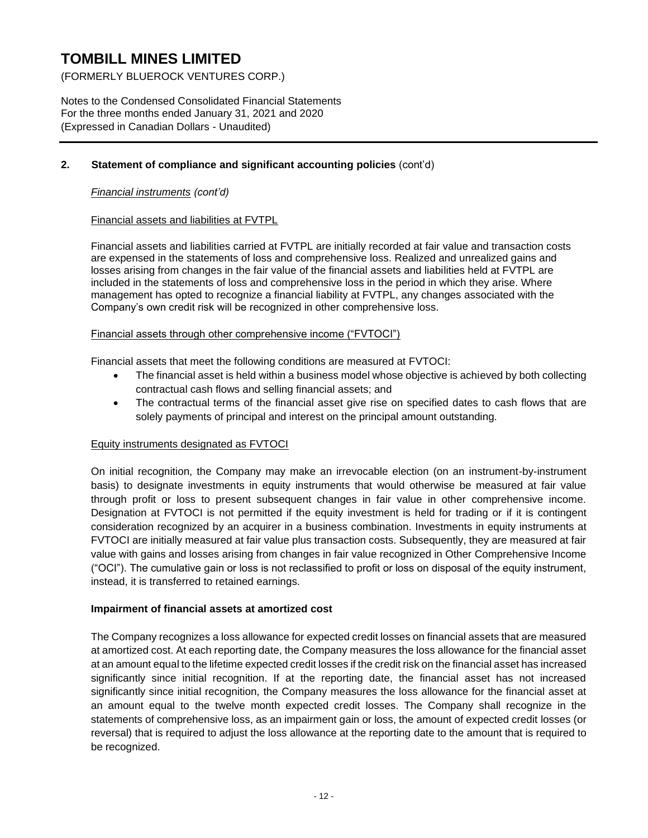(FORMERLY BLUEROCK VENTURES CORP.)

Notes to the Condensed Consolidated Financial Statements For the three months ended January 31, 2021 and 2020 (Expressed in Canadian Dollars - Unaudited)

## **2. Statement of compliance and significant accounting policies** (cont'd)

### *Financial instruments (cont'd)*

## Financial assets and liabilities at FVTPL

Financial assets and liabilities carried at FVTPL are initially recorded at fair value and transaction costs are expensed in the statements of loss and comprehensive loss. Realized and unrealized gains and losses arising from changes in the fair value of the financial assets and liabilities held at FVTPL are included in the statements of loss and comprehensive loss in the period in which they arise. Where management has opted to recognize a financial liability at FVTPL, any changes associated with the Company's own credit risk will be recognized in other comprehensive loss.

#### Financial assets through other comprehensive income ("FVTOCI")

Financial assets that meet the following conditions are measured at FVTOCI:

- The financial asset is held within a business model whose objective is achieved by both collecting contractual cash flows and selling financial assets; and
- The contractual terms of the financial asset give rise on specified dates to cash flows that are solely payments of principal and interest on the principal amount outstanding.

## Equity instruments designated as FVTOCI

On initial recognition, the Company may make an irrevocable election (on an instrument-by-instrument basis) to designate investments in equity instruments that would otherwise be measured at fair value through profit or loss to present subsequent changes in fair value in other comprehensive income. Designation at FVTOCI is not permitted if the equity investment is held for trading or if it is contingent consideration recognized by an acquirer in a business combination. Investments in equity instruments at FVTOCI are initially measured at fair value plus transaction costs. Subsequently, they are measured at fair value with gains and losses arising from changes in fair value recognized in Other Comprehensive Income ("OCI"). The cumulative gain or loss is not reclassified to profit or loss on disposal of the equity instrument, instead, it is transferred to retained earnings.

## **Impairment of financial assets at amortized cost**

The Company recognizes a loss allowance for expected credit losses on financial assets that are measured at amortized cost. At each reporting date, the Company measures the loss allowance for the financial asset at an amount equal to the lifetime expected credit losses if the credit risk on the financial asset has increased significantly since initial recognition. If at the reporting date, the financial asset has not increased significantly since initial recognition, the Company measures the loss allowance for the financial asset at an amount equal to the twelve month expected credit losses. The Company shall recognize in the statements of comprehensive loss, as an impairment gain or loss, the amount of expected credit losses (or reversal) that is required to adjust the loss allowance at the reporting date to the amount that is required to be recognized.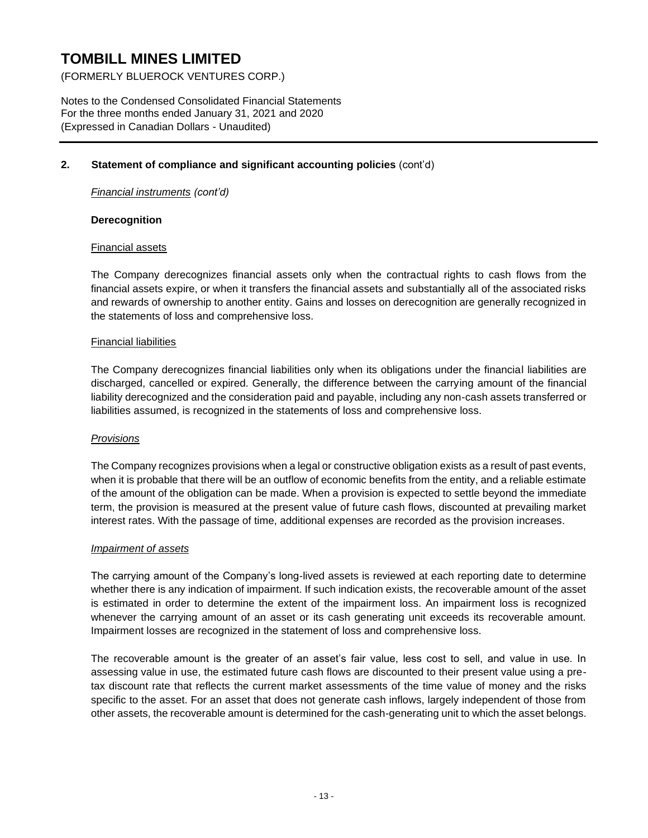(FORMERLY BLUEROCK VENTURES CORP.)

Notes to the Condensed Consolidated Financial Statements For the three months ended January 31, 2021 and 2020 (Expressed in Canadian Dollars - Unaudited)

### **2. Statement of compliance and significant accounting policies** (cont'd)

*Financial instruments (cont'd)*

#### **Derecognition**

#### Financial assets

The Company derecognizes financial assets only when the contractual rights to cash flows from the financial assets expire, or when it transfers the financial assets and substantially all of the associated risks and rewards of ownership to another entity. Gains and losses on derecognition are generally recognized in the statements of loss and comprehensive loss.

#### Financial liabilities

The Company derecognizes financial liabilities only when its obligations under the financial liabilities are discharged, cancelled or expired. Generally, the difference between the carrying amount of the financial liability derecognized and the consideration paid and payable, including any non-cash assets transferred or liabilities assumed, is recognized in the statements of loss and comprehensive loss.

#### *Provisions*

The Company recognizes provisions when a legal or constructive obligation exists as a result of past events, when it is probable that there will be an outflow of economic benefits from the entity, and a reliable estimate of the amount of the obligation can be made. When a provision is expected to settle beyond the immediate term, the provision is measured at the present value of future cash flows, discounted at prevailing market interest rates. With the passage of time, additional expenses are recorded as the provision increases.

#### *Impairment of assets*

The carrying amount of the Company's long-lived assets is reviewed at each reporting date to determine whether there is any indication of impairment. If such indication exists, the recoverable amount of the asset is estimated in order to determine the extent of the impairment loss. An impairment loss is recognized whenever the carrying amount of an asset or its cash generating unit exceeds its recoverable amount. Impairment losses are recognized in the statement of loss and comprehensive loss.

The recoverable amount is the greater of an asset's fair value, less cost to sell, and value in use. In assessing value in use, the estimated future cash flows are discounted to their present value using a pretax discount rate that reflects the current market assessments of the time value of money and the risks specific to the asset. For an asset that does not generate cash inflows, largely independent of those from other assets, the recoverable amount is determined for the cash-generating unit to which the asset belongs.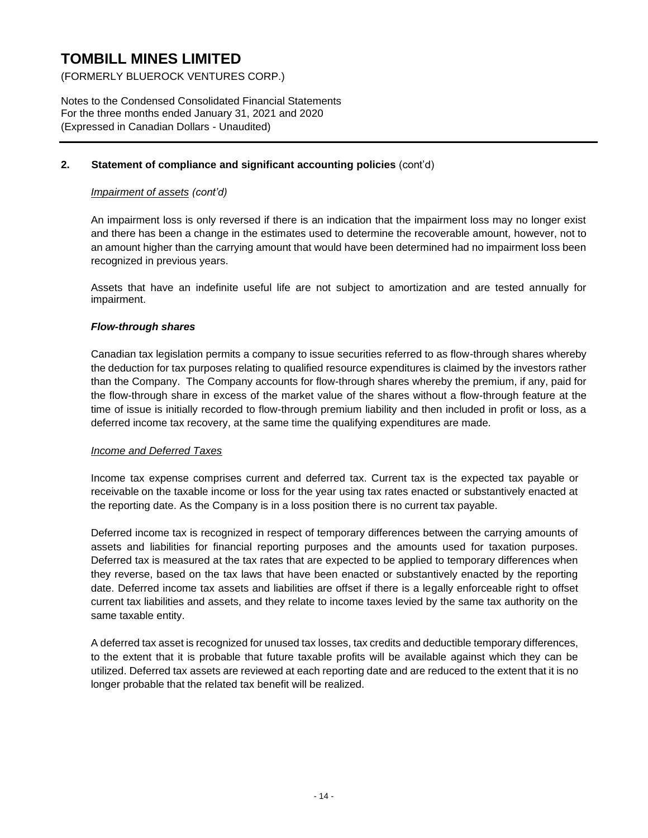(FORMERLY BLUEROCK VENTURES CORP.)

Notes to the Condensed Consolidated Financial Statements For the three months ended January 31, 2021 and 2020 (Expressed in Canadian Dollars - Unaudited)

## **2. Statement of compliance and significant accounting policies** (cont'd)

## *Impairment of assets (cont'd)*

An impairment loss is only reversed if there is an indication that the impairment loss may no longer exist and there has been a change in the estimates used to determine the recoverable amount, however, not to an amount higher than the carrying amount that would have been determined had no impairment loss been recognized in previous years.

Assets that have an indefinite useful life are not subject to amortization and are tested annually for impairment.

## *Flow-through shares*

Canadian tax legislation permits a company to issue securities referred to as flow-through shares whereby the deduction for tax purposes relating to qualified resource expenditures is claimed by the investors rather than the Company. The Company accounts for flow-through shares whereby the premium, if any, paid for the flow-through share in excess of the market value of the shares without a flow-through feature at the time of issue is initially recorded to flow-through premium liability and then included in profit or loss, as a deferred income tax recovery, at the same time the qualifying expenditures are made.

## *Income and Deferred Taxes*

Income tax expense comprises current and deferred tax. Current tax is the expected tax payable or receivable on the taxable income or loss for the year using tax rates enacted or substantively enacted at the reporting date. As the Company is in a loss position there is no current tax payable.

Deferred income tax is recognized in respect of temporary differences between the carrying amounts of assets and liabilities for financial reporting purposes and the amounts used for taxation purposes. Deferred tax is measured at the tax rates that are expected to be applied to temporary differences when they reverse, based on the tax laws that have been enacted or substantively enacted by the reporting date. Deferred income tax assets and liabilities are offset if there is a legally enforceable right to offset current tax liabilities and assets, and they relate to income taxes levied by the same tax authority on the same taxable entity.

A deferred tax asset is recognized for unused tax losses, tax credits and deductible temporary differences, to the extent that it is probable that future taxable profits will be available against which they can be utilized. Deferred tax assets are reviewed at each reporting date and are reduced to the extent that it is no longer probable that the related tax benefit will be realized.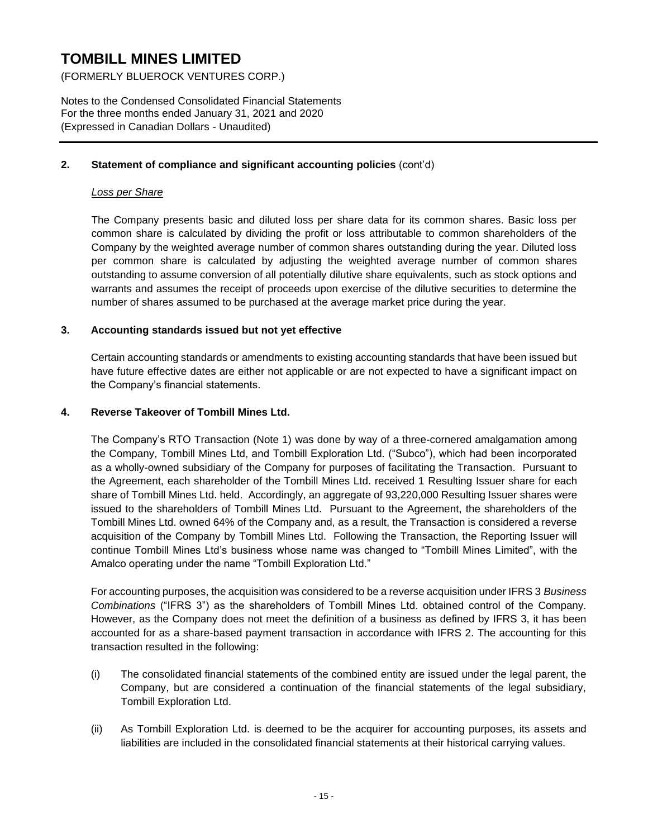(FORMERLY BLUEROCK VENTURES CORP.)

Notes to the Condensed Consolidated Financial Statements For the three months ended January 31, 2021 and 2020 (Expressed in Canadian Dollars - Unaudited)

### **2. Statement of compliance and significant accounting policies** (cont'd)

## *Loss per Share*

The Company presents basic and diluted loss per share data for its common shares. Basic loss per common share is calculated by dividing the profit or loss attributable to common shareholders of the Company by the weighted average number of common shares outstanding during the year. Diluted loss per common share is calculated by adjusting the weighted average number of common shares outstanding to assume conversion of all potentially dilutive share equivalents, such as stock options and warrants and assumes the receipt of proceeds upon exercise of the dilutive securities to determine the number of shares assumed to be purchased at the average market price during the year.

#### **3. Accounting standards issued but not yet effective**

Certain accounting standards or amendments to existing accounting standards that have been issued but have future effective dates are either not applicable or are not expected to have a significant impact on the Company's financial statements.

#### **4. Reverse Takeover of Tombill Mines Ltd.**

The Company's RTO Transaction (Note 1) was done by way of a three-cornered amalgamation among the Company, Tombill Mines Ltd, and Tombill Exploration Ltd. ("Subco"), which had been incorporated as a wholly-owned subsidiary of the Company for purposes of facilitating the Transaction. Pursuant to the Agreement, each shareholder of the Tombill Mines Ltd. received 1 Resulting Issuer share for each share of Tombill Mines Ltd. held. Accordingly, an aggregate of 93,220,000 Resulting Issuer shares were issued to the shareholders of Tombill Mines Ltd. Pursuant to the Agreement, the shareholders of the Tombill Mines Ltd. owned 64% of the Company and, as a result, the Transaction is considered a reverse acquisition of the Company by Tombill Mines Ltd. Following the Transaction, the Reporting Issuer will continue Tombill Mines Ltd's business whose name was changed to "Tombill Mines Limited", with the Amalco operating under the name "Tombill Exploration Ltd."

For accounting purposes, the acquisition was considered to be a reverse acquisition under IFRS 3 *Business Combinations* ("IFRS 3") as the shareholders of Tombill Mines Ltd. obtained control of the Company. However, as the Company does not meet the definition of a business as defined by IFRS 3, it has been accounted for as a share-based payment transaction in accordance with IFRS 2. The accounting for this transaction resulted in the following:

- (i) The consolidated financial statements of the combined entity are issued under the legal parent, the Company, but are considered a continuation of the financial statements of the legal subsidiary, Tombill Exploration Ltd.
- (ii) As Tombill Exploration Ltd. is deemed to be the acquirer for accounting purposes, its assets and liabilities are included in the consolidated financial statements at their historical carrying values.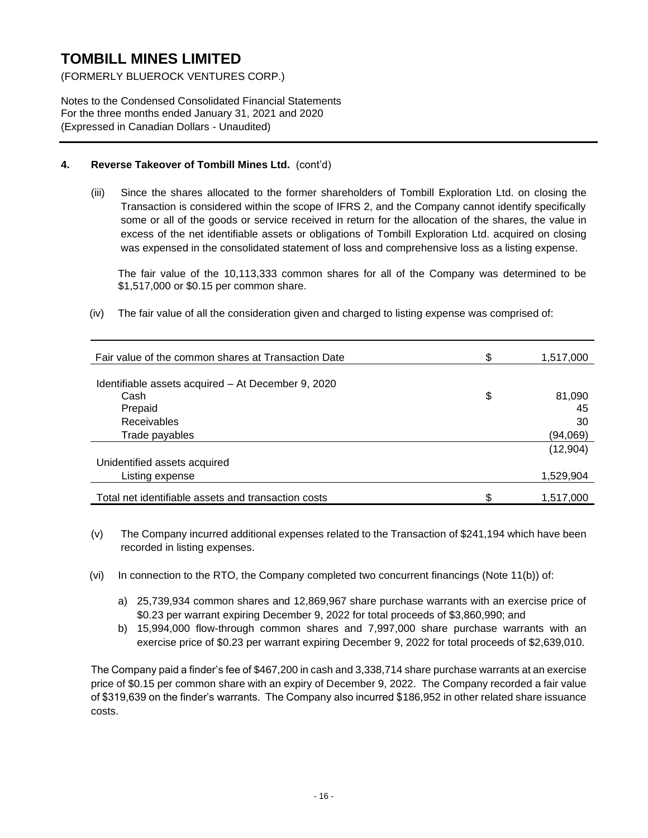(FORMERLY BLUEROCK VENTURES CORP.)

Notes to the Condensed Consolidated Financial Statements For the three months ended January 31, 2021 and 2020 (Expressed in Canadian Dollars - Unaudited)

## **4. Reverse Takeover of Tombill Mines Ltd.** (cont'd)

(iii) Since the shares allocated to the former shareholders of Tombill Exploration Ltd. on closing the Transaction is considered within the scope of IFRS 2, and the Company cannot identify specifically some or all of the goods or service received in return for the allocation of the shares, the value in excess of the net identifiable assets or obligations of Tombill Exploration Ltd. acquired on closing was expensed in the consolidated statement of loss and comprehensive loss as a listing expense.

The fair value of the 10,113,333 common shares for all of the Company was determined to be \$1,517,000 or \$0.15 per common share.

(iv) The fair value of all the consideration given and charged to listing expense was comprised of:

| Fair value of the common shares at Transaction Date | S  | 1,517,000 |
|-----------------------------------------------------|----|-----------|
|                                                     |    |           |
| Identifiable assets acquired - At December 9, 2020  |    |           |
| Cash                                                | \$ | 81,090    |
| Prepaid                                             |    | 45        |
| <b>Receivables</b>                                  |    | 30        |
| Trade payables                                      |    | (94,069)  |
|                                                     |    | (12,904)  |
| Unidentified assets acquired                        |    |           |
| Listing expense                                     |    | 1,529,904 |
|                                                     |    |           |
| Total net identifiable assets and transaction costs |    | 1,517,000 |

- (v) The Company incurred additional expenses related to the Transaction of \$241,194 which have been recorded in listing expenses.
- (vi) In connection to the RTO, the Company completed two concurrent financings (Note 11(b)) of:
	- a) 25,739,934 common shares and 12,869,967 share purchase warrants with an exercise price of \$0.23 per warrant expiring December 9, 2022 for total proceeds of \$3,860,990; and
	- b) 15,994,000 flow-through common shares and 7,997,000 share purchase warrants with an exercise price of \$0.23 per warrant expiring December 9, 2022 for total proceeds of \$2,639,010.

The Company paid a finder's fee of \$467,200 in cash and 3,338,714 share purchase warrants at an exercise price of \$0.15 per common share with an expiry of December 9, 2022. The Company recorded a fair value of \$319,639 on the finder's warrants. The Company also incurred \$186,952 in other related share issuance costs.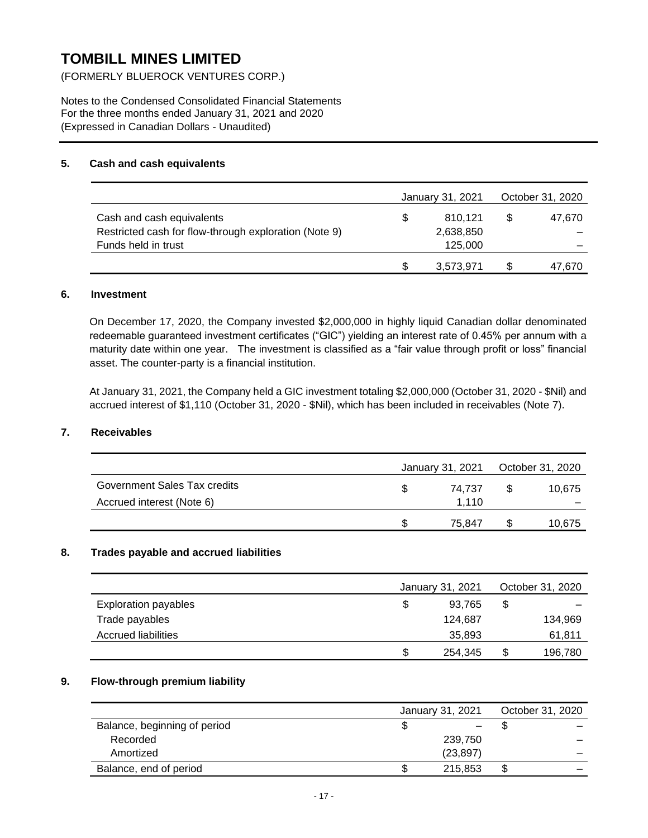(FORMERLY BLUEROCK VENTURES CORP.)

Notes to the Condensed Consolidated Financial Statements For the three months ended January 31, 2021 and 2020 (Expressed in Canadian Dollars - Unaudited)

### **5. Cash and cash equivalents**

|                                                       |     | January 31, 2021 | October 31, 2020 |
|-------------------------------------------------------|-----|------------------|------------------|
| Cash and cash equivalents                             | \$. | 810.121          | 47.670           |
| Restricted cash for flow-through exploration (Note 9) |     | 2,638,850        |                  |
| Funds held in trust                                   |     | 125,000          |                  |
|                                                       |     | 3,573,971        | 47,670           |

#### **6. Investment**

On December 17, 2020, the Company invested \$2,000,000 in highly liquid Canadian dollar denominated redeemable guaranteed investment certificates ("GIC") yielding an interest rate of 0.45% per annum with a maturity date within one year. The investment is classified as a "fair value through profit or loss" financial asset. The counter-party is a financial institution.

At January 31, 2021, the Company held a GIC investment totaling \$2,000,000 (October 31, 2020 - \$Nil) and accrued interest of \$1,110 (October 31, 2020 - \$Nil), which has been included in receivables (Note 7).

## **7. Receivables**

|                              |   | January 31, 2021 | October 31, 2020 |
|------------------------------|---|------------------|------------------|
| Government Sales Tax credits | S | 74.737           | 10.675           |
| Accrued interest (Note 6)    |   | 1.110            |                  |
|                              | S | 75.847           | 10,675           |

## **8. Trades payable and accrued liabilities**

|                             |    | January 31, 2021 | October 31, 2020 |         |  |
|-----------------------------|----|------------------|------------------|---------|--|
| <b>Exploration payables</b> | \$ | 93,765           | \$               |         |  |
| Trade payables              |    | 124.687          |                  | 134,969 |  |
| <b>Accrued liabilities</b>  |    | 35,893           |                  | 61,811  |  |
|                             | S  | 254,345          | \$               | 196,780 |  |

## **9. Flow-through premium liability**

|                              | January 31, 2021 | October 31, 2020 |
|------------------------------|------------------|------------------|
| Balance, beginning of period | —                | -                |
| Recorded                     | 239,750          |                  |
| Amortized                    | (23, 897)        | -                |
| Balance, end of period       | 215.853          | \$<br>_          |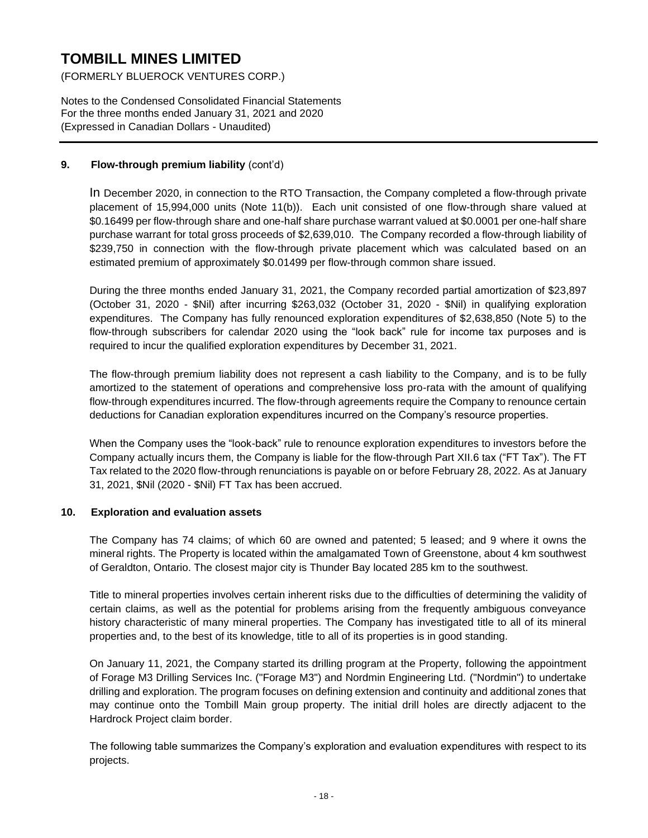(FORMERLY BLUEROCK VENTURES CORP.)

Notes to the Condensed Consolidated Financial Statements For the three months ended January 31, 2021 and 2020 (Expressed in Canadian Dollars - Unaudited)

## **9. Flow-through premium liability** (cont'd)

In December 2020, in connection to the RTO Transaction, the Company completed a flow-through private placement of 15,994,000 units (Note 11(b)). Each unit consisted of one flow-through share valued at \$0.16499 per flow-through share and one-half share purchase warrant valued at \$0.0001 per one-half share purchase warrant for total gross proceeds of \$2,639,010. The Company recorded a flow-through liability of \$239,750 in connection with the flow-through private placement which was calculated based on an estimated premium of approximately \$0.01499 per flow-through common share issued.

During the three months ended January 31, 2021, the Company recorded partial amortization of \$23,897 (October 31, 2020 - \$Nil) after incurring \$263,032 (October 31, 2020 - \$Nil) in qualifying exploration expenditures. The Company has fully renounced exploration expenditures of \$2,638,850 (Note 5) to the flow-through subscribers for calendar 2020 using the "look back" rule for income tax purposes and is required to incur the qualified exploration expenditures by December 31, 2021.

The flow-through premium liability does not represent a cash liability to the Company, and is to be fully amortized to the statement of operations and comprehensive loss pro-rata with the amount of qualifying flow-through expenditures incurred. The flow-through agreements require the Company to renounce certain deductions for Canadian exploration expenditures incurred on the Company's resource properties.

When the Company uses the "look-back" rule to renounce exploration expenditures to investors before the Company actually incurs them, the Company is liable for the flow-through Part XII.6 tax ("FT Tax"). The FT Tax related to the 2020 flow-through renunciations is payable on or before February 28, 2022. As at January 31, 2021, \$Nil (2020 - \$Nil) FT Tax has been accrued.

## **10. Exploration and evaluation assets**

The Company has 74 claims; of which 60 are owned and patented; 5 leased; and 9 where it owns the mineral rights. The Property is located within the amalgamated Town of Greenstone, about 4 km southwest of Geraldton, Ontario. The closest major city is Thunder Bay located 285 km to the southwest.

Title to mineral properties involves certain inherent risks due to the difficulties of determining the validity of certain claims, as well as the potential for problems arising from the frequently ambiguous conveyance history characteristic of many mineral properties. The Company has investigated title to all of its mineral properties and, to the best of its knowledge, title to all of its properties is in good standing.

On January 11, 2021, the Company started its drilling program at the Property, following the appointment of Forage M3 Drilling Services Inc. ("Forage M3") and Nordmin Engineering Ltd. ("Nordmin") to undertake drilling and exploration. The program focuses on defining extension and continuity and additional zones that may continue onto the Tombill Main group property. The initial drill holes are directly adjacent to the Hardrock Project claim border.

The following table summarizes the Company's exploration and evaluation expenditures with respect to its projects.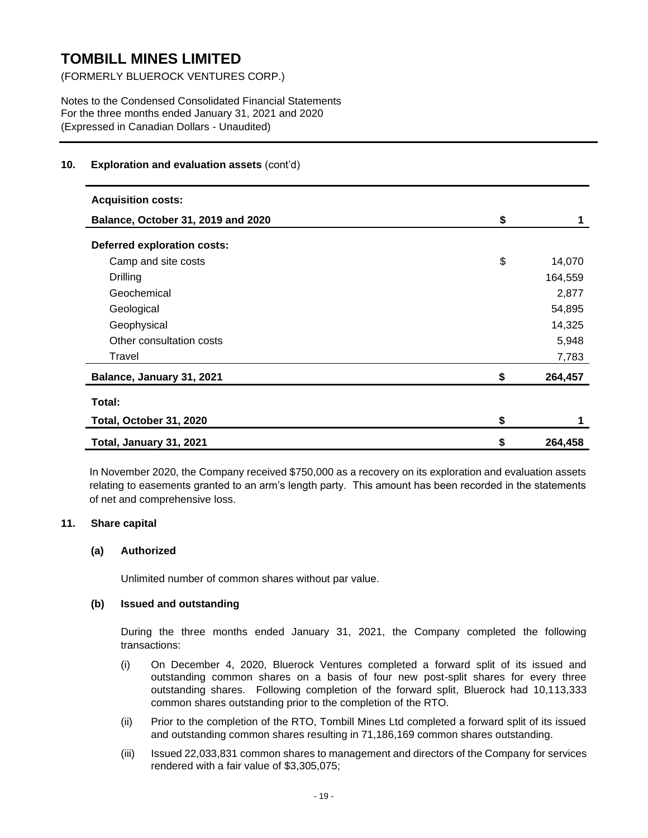(FORMERLY BLUEROCK VENTURES CORP.)

Notes to the Condensed Consolidated Financial Statements For the three months ended January 31, 2021 and 2020 (Expressed in Canadian Dollars - Unaudited)

### **10. Exploration and evaluation assets** (cont'd)

| <b>Acquisition costs:</b>          |               |
|------------------------------------|---------------|
| Balance, October 31, 2019 and 2020 | \$<br>1       |
| Deferred exploration costs:        |               |
| Camp and site costs                | \$<br>14,070  |
| Drilling                           | 164,559       |
| Geochemical                        | 2,877         |
| Geological                         | 54,895        |
| Geophysical                        | 14,325        |
| Other consultation costs           | 5,948         |
| Travel                             | 7,783         |
| Balance, January 31, 2021          | \$<br>264,457 |
| Total:                             |               |
| Total, October 31, 2020            | \$            |
| Total, January 31, 2021            | \$<br>264,458 |

In November 2020, the Company received \$750,000 as a recovery on its exploration and evaluation assets relating to easements granted to an arm's length party. This amount has been recorded in the statements of net and comprehensive loss.

#### **11. Share capital**

#### **(a) Authorized**

Unlimited number of common shares without par value.

#### **(b) Issued and outstanding**

During the three months ended January 31, 2021, the Company completed the following transactions:

- (i) On December 4, 2020, Bluerock Ventures completed a forward split of its issued and outstanding common shares on a basis of four new post-split shares for every three outstanding shares. Following completion of the forward split, Bluerock had 10,113,333 common shares outstanding prior to the completion of the RTO.
- (ii) Prior to the completion of the RTO, Tombill Mines Ltd completed a forward split of its issued and outstanding common shares resulting in 71,186,169 common shares outstanding.
- (iii) Issued 22,033,831 common shares to management and directors of the Company for services rendered with a fair value of \$3,305,075;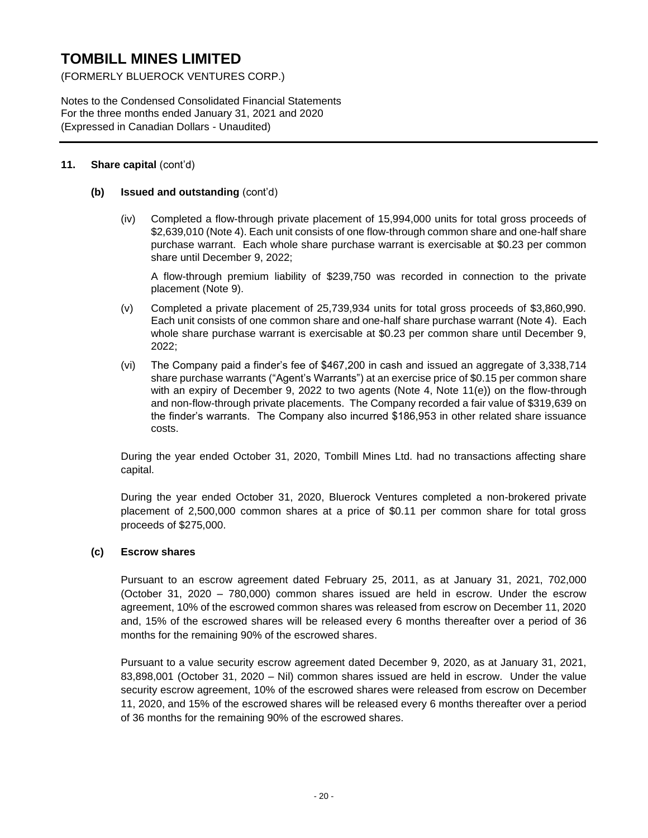(FORMERLY BLUEROCK VENTURES CORP.)

Notes to the Condensed Consolidated Financial Statements For the three months ended January 31, 2021 and 2020 (Expressed in Canadian Dollars - Unaudited)

#### **11. Share capital** (cont'd)

#### **(b) Issued and outstanding** (cont'd)

(iv) Completed a flow-through private placement of 15,994,000 units for total gross proceeds of \$2,639,010 (Note 4). Each unit consists of one flow-through common share and one-half share purchase warrant. Each whole share purchase warrant is exercisable at \$0.23 per common share until December 9, 2022;

A flow-through premium liability of \$239,750 was recorded in connection to the private placement (Note 9).

- (v) Completed a private placement of 25,739,934 units for total gross proceeds of \$3,860,990. Each unit consists of one common share and one-half share purchase warrant (Note 4). Each whole share purchase warrant is exercisable at \$0.23 per common share until December 9, 2022;
- (vi) The Company paid a finder's fee of \$467,200 in cash and issued an aggregate of 3,338,714 share purchase warrants ("Agent's Warrants") at an exercise price of \$0.15 per common share with an expiry of December 9, 2022 to two agents (Note 4, Note 11(e)) on the flow-through and non-flow-through private placements. The Company recorded a fair value of \$319,639 on the finder's warrants. The Company also incurred \$186,953 in other related share issuance costs.

During the year ended October 31, 2020, Tombill Mines Ltd. had no transactions affecting share capital.

During the year ended October 31, 2020, Bluerock Ventures completed a non-brokered private placement of 2,500,000 common shares at a price of \$0.11 per common share for total gross proceeds of \$275,000.

#### **(c) Escrow shares**

Pursuant to an escrow agreement dated February 25, 2011, as at January 31, 2021, 702,000 (October 31, 2020 – 780,000) common shares issued are held in escrow. Under the escrow agreement, 10% of the escrowed common shares was released from escrow on December 11, 2020 and, 15% of the escrowed shares will be released every 6 months thereafter over a period of 36 months for the remaining 90% of the escrowed shares.

Pursuant to a value security escrow agreement dated December 9, 2020, as at January 31, 2021, 83,898,001 (October 31, 2020 – Nil) common shares issued are held in escrow. Under the value security escrow agreement, 10% of the escrowed shares were released from escrow on December 11, 2020, and 15% of the escrowed shares will be released every 6 months thereafter over a period of 36 months for the remaining 90% of the escrowed shares.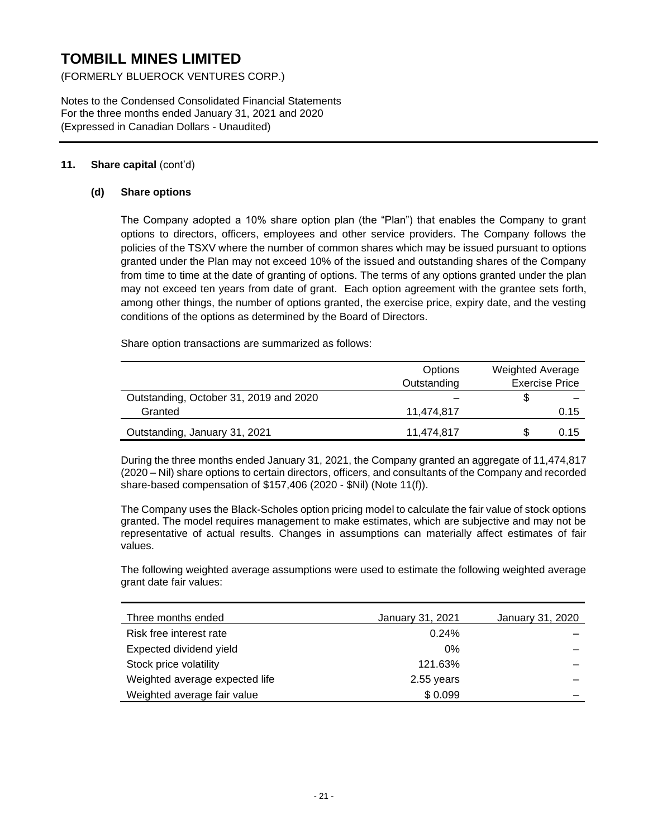(FORMERLY BLUEROCK VENTURES CORP.)

Notes to the Condensed Consolidated Financial Statements For the three months ended January 31, 2021 and 2020 (Expressed in Canadian Dollars - Unaudited)

## **11. Share capital** (cont'd)

#### **(d) Share options**

The Company adopted a 10% share option plan (the "Plan") that enables the Company to grant options to directors, officers, employees and other service providers. The Company follows the policies of the TSXV where the number of common shares which may be issued pursuant to options granted under the Plan may not exceed 10% of the issued and outstanding shares of the Company from time to time at the date of granting of options. The terms of any options granted under the plan may not exceed ten years from date of grant. Each option agreement with the grantee sets forth, among other things, the number of options granted, the exercise price, expiry date, and the vesting conditions of the options as determined by the Board of Directors.

Share option transactions are summarized as follows:

|                                        | Options     | <b>Weighted Average</b> |
|----------------------------------------|-------------|-------------------------|
|                                        | Outstanding | <b>Exercise Price</b>   |
| Outstanding, October 31, 2019 and 2020 |             |                         |
| Granted                                | 11.474.817  | 0.15                    |
| Outstanding, January 31, 2021          | 11.474.817  | 0.15                    |

During the three months ended January 31, 2021, the Company granted an aggregate of 11,474,817 (2020 – Nil) share options to certain directors, officers, and consultants of the Company and recorded share-based compensation of \$157,406 (2020 - \$Nil) (Note 11(f)).

The Company uses the Black-Scholes option pricing model to calculate the fair value of stock options granted. The model requires management to make estimates, which are subjective and may not be representative of actual results. Changes in assumptions can materially affect estimates of fair values.

The following weighted average assumptions were used to estimate the following weighted average grant date fair values:

| Three months ended             | January 31, 2021 | January 31, 2020 |
|--------------------------------|------------------|------------------|
| Risk free interest rate        | 0.24%            |                  |
| Expected dividend yield        | 0%               |                  |
| Stock price volatility         | 121.63%          |                  |
| Weighted average expected life | 2.55 years       |                  |
| Weighted average fair value    | \$0.099          |                  |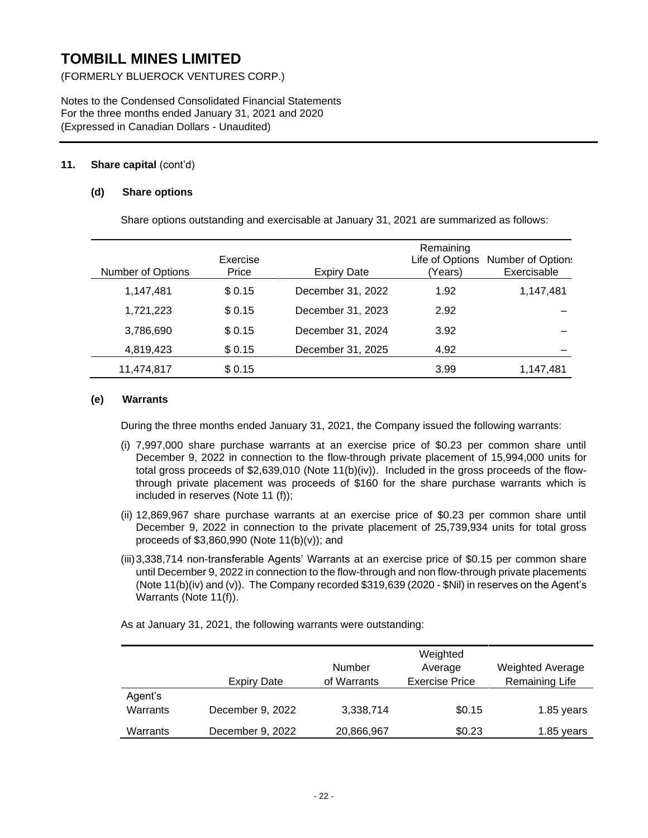(FORMERLY BLUEROCK VENTURES CORP.)

Notes to the Condensed Consolidated Financial Statements For the three months ended January 31, 2021 and 2020 (Expressed in Canadian Dollars - Unaudited)

### **11. Share capital** (cont'd)

#### **(d) Share options**

Share options outstanding and exercisable at January 31, 2021 are summarized as follows:

| Number of Options | Exercise<br>Price | <b>Expiry Date</b> | Remaining<br>Life of Options<br>(Years) | <b>Number of Option:</b><br>Exercisable |
|-------------------|-------------------|--------------------|-----------------------------------------|-----------------------------------------|
| 1,147,481         | \$ 0.15           | December 31, 2022  | 1.92                                    | 1,147,481                               |
| 1,721,223         | \$0.15            | December 31, 2023  | 2.92                                    |                                         |
| 3,786,690         | \$0.15            | December 31, 2024  | 3.92                                    |                                         |
| 4,819,423         | \$0.15            | December 31, 2025  | 4.92                                    |                                         |
| 11,474,817        | \$0.15            |                    | 3.99                                    | 1,147,481                               |

#### **(e) Warrants**

During the three months ended January 31, 2021, the Company issued the following warrants:

- (i) 7,997,000 share purchase warrants at an exercise price of \$0.23 per common share until December 9, 2022 in connection to the flow-through private placement of 15,994,000 units for total gross proceeds of \$2,639,010 (Note 11(b)(iv)). Included in the gross proceeds of the flowthrough private placement was proceeds of \$160 for the share purchase warrants which is included in reserves (Note 11 (f));
- (ii) 12,869,967 share purchase warrants at an exercise price of \$0.23 per common share until December 9, 2022 in connection to the private placement of 25,739,934 units for total gross proceeds of \$3,860,990 (Note 11(b)(v)); and
- (iii)3,338,714 non-transferable Agents' Warrants at an exercise price of \$0.15 per common share until December 9, 2022 in connection to the flow-through and non flow-through private placements (Note 11(b)(iv) and (v)). The Company recorded \$319,639 (2020 - \$Nil) in reserves on the Agent's Warrants (Note 11(f)).

As at January 31, 2021, the following warrants were outstanding:

|                     | Expiry Date      | Number<br>of Warrants | Weighted<br>Average<br><b>Exercise Price</b> | <b>Weighted Average</b><br>Remaining Life |
|---------------------|------------------|-----------------------|----------------------------------------------|-------------------------------------------|
| Agent's<br>Warrants | December 9, 2022 | 3,338,714             | \$0.15                                       | 1.85 years                                |
| Warrants            | December 9, 2022 | 20,866,967            | \$0.23                                       | 1.85 years                                |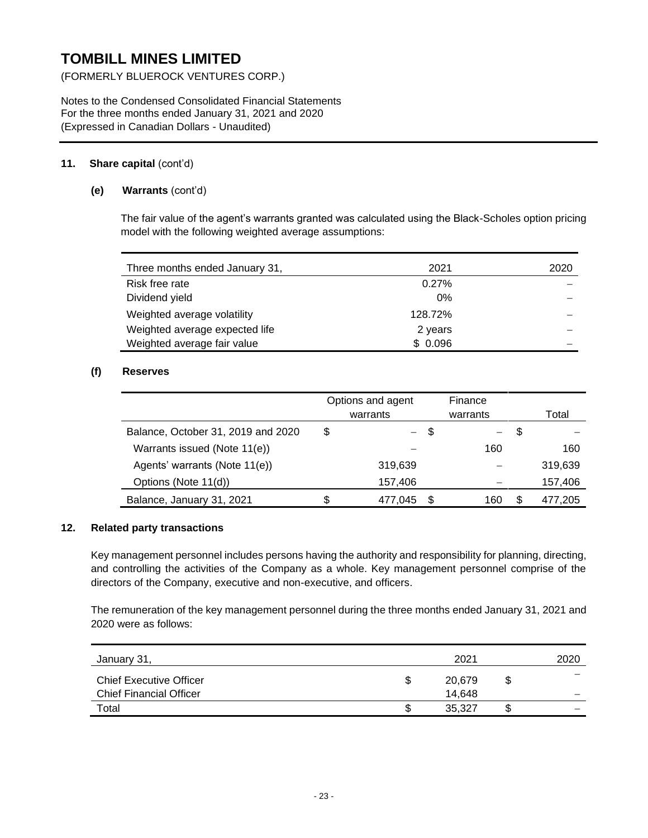(FORMERLY BLUEROCK VENTURES CORP.)

Notes to the Condensed Consolidated Financial Statements For the three months ended January 31, 2021 and 2020 (Expressed in Canadian Dollars - Unaudited)

## **11. Share capital** (cont'd)

## **(e) Warrants** (cont'd)

The fair value of the agent's warrants granted was calculated using the Black-Scholes option pricing model with the following weighted average assumptions:

| Three months ended January 31, | 2021    | 2020 |
|--------------------------------|---------|------|
| Risk free rate                 | 0.27%   |      |
| Dividend yield                 | $0\%$   |      |
| Weighted average volatility    | 128.72% |      |
| Weighted average expected life | 2 years |      |
| Weighted average fair value    | \$0.096 |      |

## **(f) Reserves**

|                                    | Options and agent<br>warrants |         | Finance<br>warrants |     | Total |         |
|------------------------------------|-------------------------------|---------|---------------------|-----|-------|---------|
| Balance, October 31, 2019 and 2020 | \$                            |         | - 5                 |     | S     |         |
| Warrants issued (Note 11(e))       |                               |         |                     | 160 |       | 160     |
| Agents' warrants (Note 11(e))      |                               | 319,639 |                     |     |       | 319,639 |
| Options (Note 11(d))               |                               | 157,406 |                     |     |       | 157,406 |
| Balance, January 31, 2021          | S.                            | 477.045 | S                   | 160 | S     | 477.205 |

## **12. Related party transactions**

Key management personnel includes persons having the authority and responsibility for planning, directing, and controlling the activities of the Company as a whole. Key management personnel comprise of the directors of the Company, executive and non-executive, and officers.

The remuneration of the key management personnel during the three months ended January 31, 2021 and 2020 were as follows:

| January 31,                    |   | 2021   |    | 2020 |
|--------------------------------|---|--------|----|------|
| <b>Chief Executive Officer</b> | S | 20,679 | S  |      |
| <b>Chief Financial Officer</b> |   | 14,648 |    |      |
| Total                          | S | 35,327 | ۰D | _    |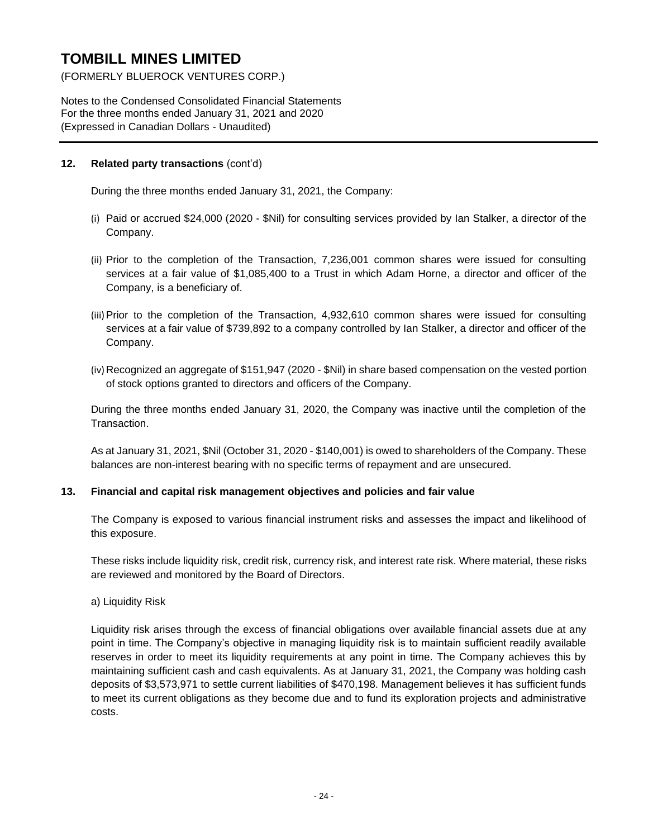(FORMERLY BLUEROCK VENTURES CORP.)

Notes to the Condensed Consolidated Financial Statements For the three months ended January 31, 2021 and 2020 (Expressed in Canadian Dollars - Unaudited)

## **12. Related party transactions** (cont'd)

During the three months ended January 31, 2021, the Company:

- (i) Paid or accrued \$24,000 (2020 \$Nil) for consulting services provided by Ian Stalker, a director of the Company.
- (ii) Prior to the completion of the Transaction, 7,236,001 common shares were issued for consulting services at a fair value of \$1,085,400 to a Trust in which Adam Horne, a director and officer of the Company, is a beneficiary of.
- (iii)Prior to the completion of the Transaction, 4,932,610 common shares were issued for consulting services at a fair value of \$739,892 to a company controlled by Ian Stalker, a director and officer of the Company.
- (iv) Recognized an aggregate of \$151,947 (2020 \$Nil) in share based compensation on the vested portion of stock options granted to directors and officers of the Company.

During the three months ended January 31, 2020, the Company was inactive until the completion of the Transaction.

As at January 31, 2021, \$Nil (October 31, 2020 - \$140,001) is owed to shareholders of the Company. These balances are non-interest bearing with no specific terms of repayment and are unsecured.

## **13. Financial and capital risk management objectives and policies and fair value**

The Company is exposed to various financial instrument risks and assesses the impact and likelihood of this exposure.

These risks include liquidity risk, credit risk, currency risk, and interest rate risk. Where material, these risks are reviewed and monitored by the Board of Directors.

a) Liquidity Risk

Liquidity risk arises through the excess of financial obligations over available financial assets due at any point in time. The Company's objective in managing liquidity risk is to maintain sufficient readily available reserves in order to meet its liquidity requirements at any point in time. The Company achieves this by maintaining sufficient cash and cash equivalents. As at January 31, 2021, the Company was holding cash deposits of \$3,573,971 to settle current liabilities of \$470,198. Management believes it has sufficient funds to meet its current obligations as they become due and to fund its exploration projects and administrative costs.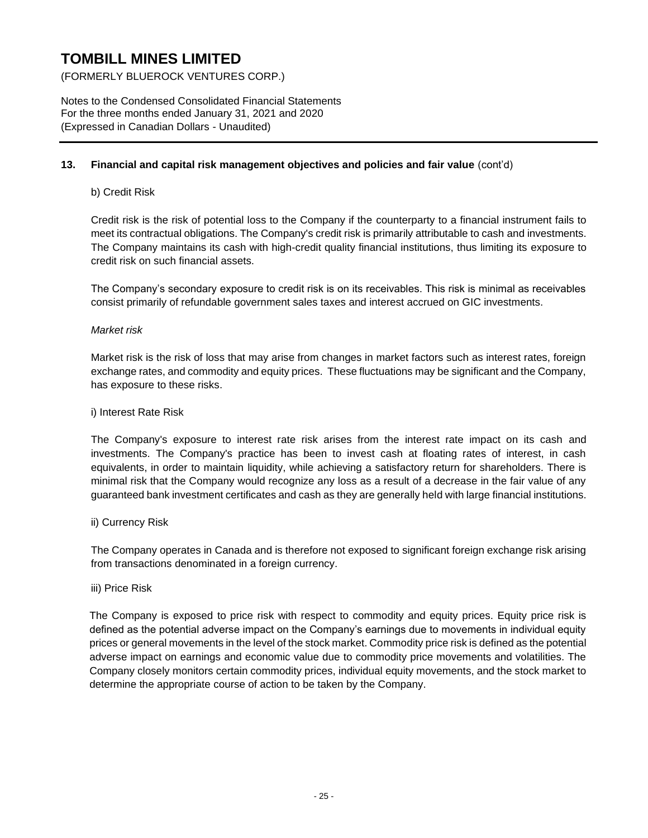(FORMERLY BLUEROCK VENTURES CORP.)

Notes to the Condensed Consolidated Financial Statements For the three months ended January 31, 2021 and 2020 (Expressed in Canadian Dollars - Unaudited)

### **13. Financial and capital risk management objectives and policies and fair value** (cont'd)

#### b) Credit Risk

Credit risk is the risk of potential loss to the Company if the counterparty to a financial instrument fails to meet its contractual obligations. The Company's credit risk is primarily attributable to cash and investments. The Company maintains its cash with high-credit quality financial institutions, thus limiting its exposure to credit risk on such financial assets.

The Company's secondary exposure to credit risk is on its receivables. This risk is minimal as receivables consist primarily of refundable government sales taxes and interest accrued on GIC investments.

#### *Market risk*

Market risk is the risk of loss that may arise from changes in market factors such as interest rates, foreign exchange rates, and commodity and equity prices. These fluctuations may be significant and the Company, has exposure to these risks.

#### i) Interest Rate Risk

The Company's exposure to interest rate risk arises from the interest rate impact on its cash and investments. The Company's practice has been to invest cash at floating rates of interest, in cash equivalents, in order to maintain liquidity, while achieving a satisfactory return for shareholders. There is minimal risk that the Company would recognize any loss as a result of a decrease in the fair value of any guaranteed bank investment certificates and cash as they are generally held with large financial institutions.

#### ii) Currency Risk

The Company operates in Canada and is therefore not exposed to significant foreign exchange risk arising from transactions denominated in a foreign currency.

#### iii) Price Risk

The Company is exposed to price risk with respect to commodity and equity prices. Equity price risk is defined as the potential adverse impact on the Company's earnings due to movements in individual equity prices or general movements in the level of the stock market. Commodity price risk is defined as the potential adverse impact on earnings and economic value due to commodity price movements and volatilities. The Company closely monitors certain commodity prices, individual equity movements, and the stock market to determine the appropriate course of action to be taken by the Company.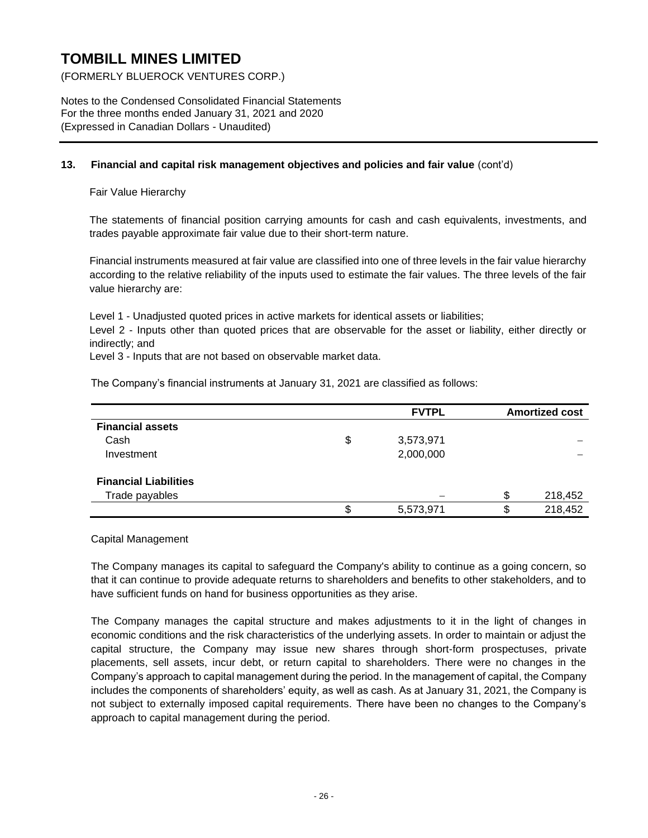(FORMERLY BLUEROCK VENTURES CORP.)

Notes to the Condensed Consolidated Financial Statements For the three months ended January 31, 2021 and 2020 (Expressed in Canadian Dollars - Unaudited)

#### **13. Financial and capital risk management objectives and policies and fair value** (cont'd)

Fair Value Hierarchy

The statements of financial position carrying amounts for cash and cash equivalents, investments, and trades payable approximate fair value due to their short-term nature.

Financial instruments measured at fair value are classified into one of three levels in the fair value hierarchy according to the relative reliability of the inputs used to estimate the fair values. The three levels of the fair value hierarchy are:

Level 1 - Unadjusted quoted prices in active markets for identical assets or liabilities;

Level 2 - Inputs other than quoted prices that are observable for the asset or liability, either directly or indirectly; and

Level 3 - Inputs that are not based on observable market data.

The Company's financial instruments at January 31, 2021 are classified as follows:

|                              | <b>FVTPL</b>    | <b>Amortized cost</b> |
|------------------------------|-----------------|-----------------------|
| <b>Financial assets</b>      |                 |                       |
| Cash                         | \$<br>3,573,971 |                       |
| Investment                   | 2,000,000       |                       |
| <b>Financial Liabilities</b> |                 |                       |
| Trade payables               |                 | \$<br>218,452         |
|                              | \$<br>5,573,971 | \$<br>218,452         |

Capital Management

The Company manages its capital to safeguard the Company's ability to continue as a going concern, so that it can continue to provide adequate returns to shareholders and benefits to other stakeholders, and to have sufficient funds on hand for business opportunities as they arise.

The Company manages the capital structure and makes adjustments to it in the light of changes in economic conditions and the risk characteristics of the underlying assets. In order to maintain or adjust the capital structure, the Company may issue new shares through short-form prospectuses, private placements, sell assets, incur debt, or return capital to shareholders. There were no changes in the Company's approach to capital management during the period. In the management of capital, the Company includes the components of shareholders' equity, as well as cash. As at January 31, 2021, the Company is not subject to externally imposed capital requirements. There have been no changes to the Company's approach to capital management during the period.